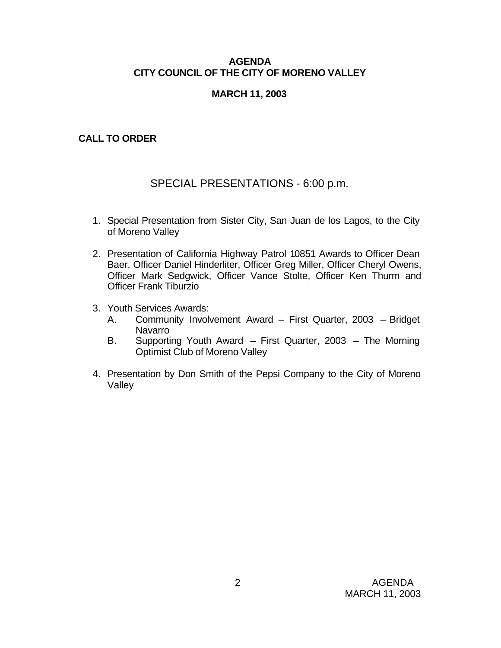### **AGENDA CITY COUNCIL OF THE CITY OF MORENO VALLEY**

# **MARCH 11, 2003**

# **CALL TO ORDER**

# SPECIAL PRESENTATIONS - 6:00 p.m.

- 1. Special Presentation from Sister City, San Juan de los Lagos, to the City of Moreno Valley
- 2. Presentation of California Highway Patrol 10851 Awards to Officer Dean Baer, Officer Daniel Hinderliter, Officer Greg Miller, Officer Cheryl Owens, Officer Mark Sedgwick, Officer Vance Stolte, Officer Ken Thurm and Officer Frank Tiburzio
- 3. Youth Services Awards:
	- A. Community Involvement Award First Quarter, 2003 Bridget Navarro
	- B. Supporting Youth Award First Quarter, 2003 The Morning Optimist Club of Moreno Valley
- 4. Presentation by Don Smith of the Pepsi Company to the City of Moreno Valley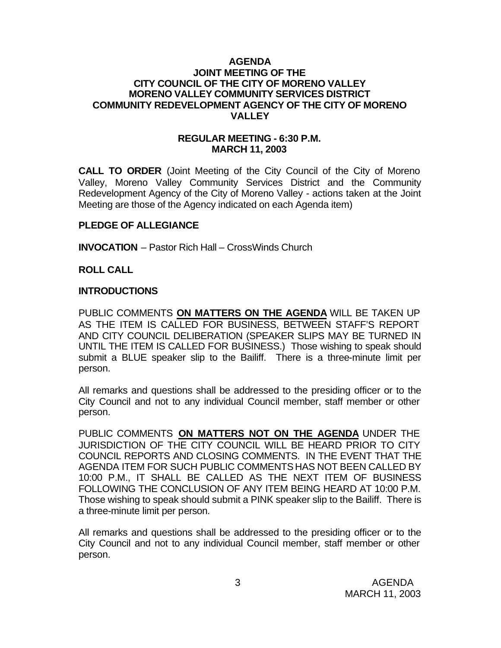### **AGENDA JOINT MEETING OF THE CITY COUNCIL OF THE CITY OF MORENO VALLEY MORENO VALLEY COMMUNITY SERVICES DISTRICT COMMUNITY REDEVELOPMENT AGENCY OF THE CITY OF MORENO VALLEY**

### **REGULAR MEETING - 6:30 P.M. MARCH 11, 2003**

**CALL TO ORDER** (Joint Meeting of the City Council of the City of Moreno Valley, Moreno Valley Community Services District and the Community Redevelopment Agency of the City of Moreno Valley - actions taken at the Joint Meeting are those of the Agency indicated on each Agenda item)

#### **PLEDGE OF ALLEGIANCE**

**INVOCATION** – Pastor Rich Hall – CrossWinds Church

### **ROLL CALL**

### **INTRODUCTIONS**

PUBLIC COMMENTS **ON MATTERS ON THE AGENDA** WILL BE TAKEN UP AS THE ITEM IS CALLED FOR BUSINESS, BETWEEN STAFF'S REPORT AND CITY COUNCIL DELIBERATION (SPEAKER SLIPS MAY BE TURNED IN UNTIL THE ITEM IS CALLED FOR BUSINESS.) Those wishing to speak should submit a BLUE speaker slip to the Bailiff. There is a three-minute limit per person.

All remarks and questions shall be addressed to the presiding officer or to the City Council and not to any individual Council member, staff member or other person.

PUBLIC COMMENTS **ON MATTERS NOT ON THE AGENDA** UNDER THE JURISDICTION OF THE CITY COUNCIL WILL BE HEARD PRIOR TO CITY COUNCIL REPORTS AND CLOSING COMMENTS. IN THE EVENT THAT THE AGENDA ITEM FOR SUCH PUBLIC COMMENTS HAS NOT BEEN CALLED BY 10:00 P.M., IT SHALL BE CALLED AS THE NEXT ITEM OF BUSINESS FOLLOWING THE CONCLUSION OF ANY ITEM BEING HEARD AT 10:00 P.M. Those wishing to speak should submit a PINK speaker slip to the Bailiff. There is a three-minute limit per person.

All remarks and questions shall be addressed to the presiding officer or to the City Council and not to any individual Council member, staff member or other person.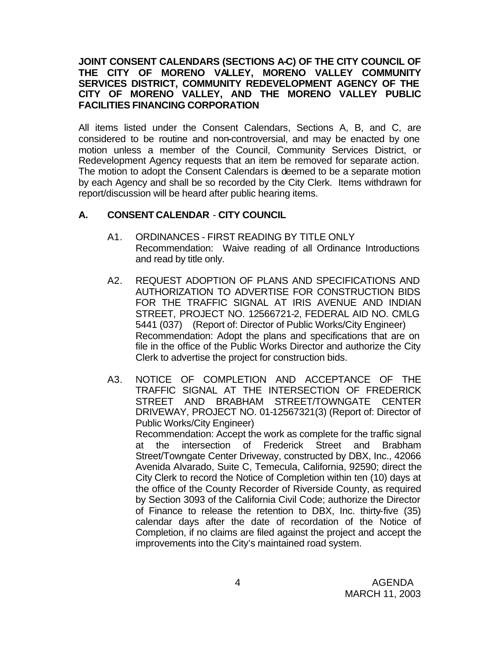### **JOINT CONSENT CALENDARS (SECTIONS A-C) OF THE CITY COUNCIL OF THE CITY OF MORENO VALLEY, MORENO VALLEY COMMUNITY SERVICES DISTRICT, COMMUNITY REDEVELOPMENT AGENCY OF THE CITY OF MORENO VALLEY, AND THE MORENO VALLEY PUBLIC FACILITIES FINANCING CORPORATION**

All items listed under the Consent Calendars, Sections A, B, and C, are considered to be routine and non-controversial, and may be enacted by one motion unless a member of the Council, Community Services District, or Redevelopment Agency requests that an item be removed for separate action. The motion to adopt the Consent Calendars is deemed to be a separate motion by each Agency and shall be so recorded by the City Clerk. Items withdrawn for report/discussion will be heard after public hearing items.

# **A. CONSENT CALENDAR** - **CITY COUNCIL**

- A1. ORDINANCES FIRST READING BY TITLE ONLY Recommendation: Waive reading of all Ordinance Introductions and read by title only.
- A2. REQUEST ADOPTION OF PLANS AND SPECIFICATIONS AND AUTHORIZATION TO ADVERTISE FOR CONSTRUCTION BIDS FOR THE TRAFFIC SIGNAL AT IRIS AVENUE AND INDIAN STREET, PROJECT NO. 12566721-2, FEDERAL AID NO. CMLG 5441 (037) (Report of: Director of Public Works/City Engineer) Recommendation: Adopt the plans and specifications that are on file in the office of the Public Works Director and authorize the City Clerk to advertise the project for construction bids.
- A3. NOTICE OF COMPLETION AND ACCEPTANCE OF THE TRAFFIC SIGNAL AT THE INTERSECTION OF FREDERICK STREET AND BRABHAM STREET/TOWNGATE CENTER DRIVEWAY, PROJECT NO. 01-12567321(3) (Report of: Director of Public Works/City Engineer) Recommendation: Accept the work as complete for the traffic signal at the intersection of Frederick Street and Brabham Street/Towngate Center Driveway, constructed by DBX, Inc., 42066 Avenida Alvarado, Suite C, Temecula, California, 92590; direct the City Clerk to record the Notice of Completion within ten (10) days at the office of the County Recorder of Riverside County, as required by Section 3093 of the California Civil Code; authorize the Director of Finance to release the retention to DBX, Inc. thirty-five (35) calendar days after the date of recordation of the Notice of Completion, if no claims are filed against the project and accept the improvements into the City's maintained road system.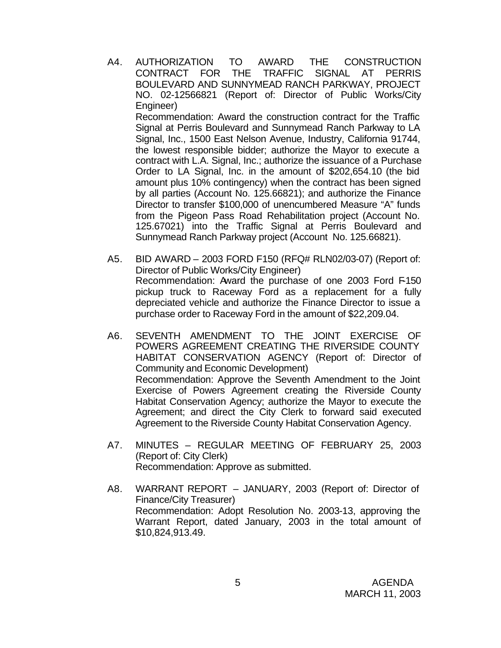- A4. AUTHORIZATION TO AWARD THE CONSTRUCTION CONTRACT FOR THE TRAFFIC SIGNAL AT PERRIS BOULEVARD AND SUNNYMEAD RANCH PARKWAY, PROJECT NO. 02-12566821 (Report of: Director of Public Works/City Engineer) Recommendation: Award the construction contract for the Traffic Signal at Perris Boulevard and Sunnymead Ranch Parkway to LA Signal, Inc., 1500 East Nelson Avenue, Industry, California 91744, the lowest responsible bidder; authorize the Mayor to execute a contract with L.A. Signal, Inc.; authorize the issuance of a Purchase Order to LA Signal, Inc. in the amount of \$202,654.10 (the bid amount plus 10% contingency) when the contract has been signed by all parties (Account No. 125.66821); and authorize the Finance Director to transfer \$100,000 of unencumbered Measure "A" funds from the Pigeon Pass Road Rehabilitation project (Account No. 125.67021) into the Traffic Signal at Perris Boulevard and Sunnymead Ranch Parkway project (Account No. 125.66821).
- A5. BID AWARD 2003 FORD F150 (RFQ# RLN02/03-07) (Report of: Director of Public Works/City Engineer) Recommendation: Award the purchase of one 2003 Ford F-150 pickup truck to Raceway Ford as a replacement for a fully depreciated vehicle and authorize the Finance Director to issue a purchase order to Raceway Ford in the amount of \$22,209.04.
- A6. SEVENTH AMENDMENT TO THE JOINT EXERCISE OF POWERS AGREEMENT CREATING THE RIVERSIDE COUNTY HABITAT CONSERVATION AGENCY (Report of: Director of Community and Economic Development) Recommendation: Approve the Seventh Amendment to the Joint Exercise of Powers Agreement creating the Riverside County Habitat Conservation Agency; authorize the Mayor to execute the Agreement; and direct the City Clerk to forward said executed Agreement to the Riverside County Habitat Conservation Agency.
- A7. MINUTES REGULAR MEETING OF FEBRUARY 25, 2003 (Report of: City Clerk) Recommendation: Approve as submitted.
- A8. WARRANT REPORT JANUARY, 2003 (Report of: Director of Finance/City Treasurer) Recommendation: Adopt Resolution No. 2003-13, approving the Warrant Report, dated January, 2003 in the total amount of \$10,824,913.49.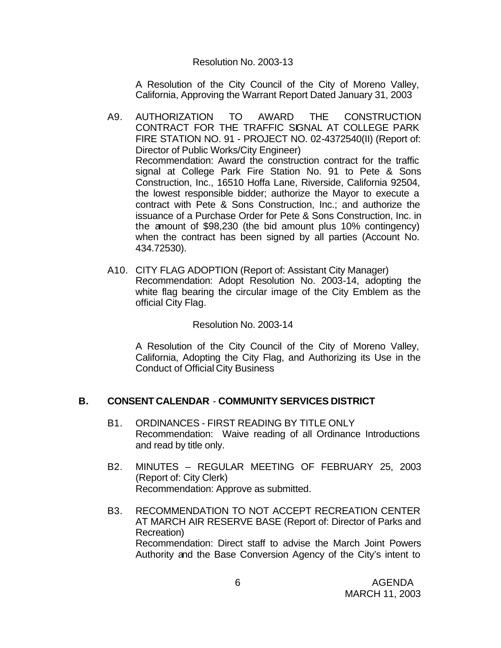### Resolution No. 2003-13

A Resolution of the City Council of the City of Moreno Valley, California, Approving the Warrant Report Dated January 31, 2003

- A9. AUTHORIZATION TO AWARD THE CONSTRUCTION CONTRACT FOR THE TRAFFIC SIGNAL AT COLLEGE PARK FIRE STATION NO. 91 - PROJECT NO. 02-4372540(II) (Report of: Director of Public Works/City Engineer) Recommendation: Award the construction contract for the traffic signal at College Park Fire Station No. 91 to Pete & Sons Construction, Inc., 16510 Hoffa Lane, Riverside, California 92504, the lowest responsible bidder; authorize the Mayor to execute a contract with Pete & Sons Construction, Inc.; and authorize the issuance of a Purchase Order for Pete & Sons Construction, Inc. in the amount of \$98,230 (the bid amount plus 10% contingency) when the contract has been signed by all parties (Account No. 434.72530).
- A10. CITY FLAG ADOPTION (Report of: Assistant City Manager) Recommendation: Adopt Resolution No. 2003-14, adopting the white flag bearing the circular image of the City Emblem as the official City Flag.

#### Resolution No. 2003-14

A Resolution of the City Council of the City of Moreno Valley, California, Adopting the City Flag, and Authorizing its Use in the Conduct of Official City Business

### **B. CONSENT CALENDAR** - **COMMUNITY SERVICES DISTRICT**

- B1. ORDINANCES FIRST READING BY TITLE ONLY Recommendation: Waive reading of all Ordinance Introductions and read by title only.
- B2. MINUTES REGULAR MEETING OF FEBRUARY 25, 2003 (Report of: City Clerk) Recommendation: Approve as submitted.
- B3. RECOMMENDATION TO NOT ACCEPT RECREATION CENTER AT MARCH AIR RESERVE BASE (Report of: Director of Parks and Recreation) Recommendation: Direct staff to advise the March Joint Powers Authority and the Base Conversion Agency of the City's intent to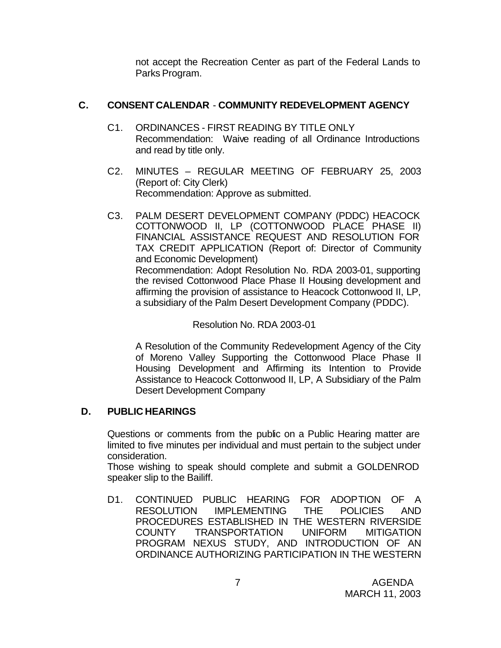not accept the Recreation Center as part of the Federal Lands to Parks Program.

# **C. CONSENT CALENDAR** - **COMMUNITY REDEVELOPMENT AGENCY**

- C1. ORDINANCES FIRST READING BY TITLE ONLY Recommendation: Waive reading of all Ordinance Introductions and read by title only.
- C2. MINUTES REGULAR MEETING OF FEBRUARY 25, 2003 (Report of: City Clerk) Recommendation: Approve as submitted.
- C3. PALM DESERT DEVELOPMENT COMPANY (PDDC) HEACOCK COTTONWOOD II, LP (COTTONWOOD PLACE PHASE II) FINANCIAL ASSISTANCE REQUEST AND RESOLUTION FOR TAX CREDIT APPLICATION (Report of: Director of Community and Economic Development) Recommendation: Adopt Resolution No. RDA 2003-01, supporting the revised Cottonwood Place Phase II Housing development and affirming the provision of assistance to Heacock Cottonwood II, LP, a subsidiary of the Palm Desert Development Company (PDDC).

Resolution No. RDA 2003-01

A Resolution of the Community Redevelopment Agency of the City of Moreno Valley Supporting the Cottonwood Place Phase II Housing Development and Affirming its Intention to Provide Assistance to Heacock Cottonwood II, LP, A Subsidiary of the Palm Desert Development Company

# **D. PUBLIC HEARINGS**

Questions or comments from the public on a Public Hearing matter are limited to five minutes per individual and must pertain to the subject under consideration.

Those wishing to speak should complete and submit a GOLDENROD speaker slip to the Bailiff.

D1. CONTINUED PUBLIC HEARING FOR ADOPTION OF A RESOLUTION IMPLEMENTING THE POLICIES AND PROCEDURES ESTABLISHED IN THE WESTERN RIVERSIDE COUNTY TRANSPORTATION UNIFORM MITIGATION PROGRAM NEXUS STUDY, AND INTRODUCTION OF AN ORDINANCE AUTHORIZING PARTICIPATION IN THE WESTERN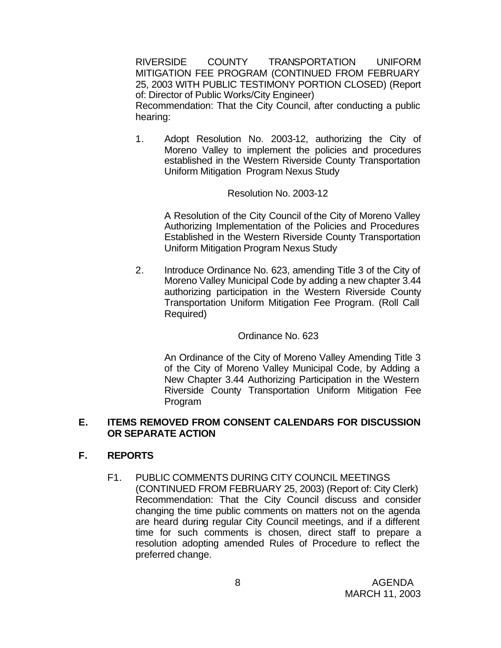RIVERSIDE COUNTY TRANSPORTATION UNIFORM MITIGATION FEE PROGRAM (CONTINUED FROM FEBRUARY 25, 2003 WITH PUBLIC TESTIMONY PORTION CLOSED) (Report of: Director of Public Works/City Engineer) Recommendation: That the City Council, after conducting a public hearing:

1. Adopt Resolution No. 2003-12, authorizing the City of Moreno Valley to implement the policies and procedures established in the Western Riverside County Transportation Uniform Mitigation Program Nexus Study

#### Resolution No. 2003-12

A Resolution of the City Council of the City of Moreno Valley Authorizing Implementation of the Policies and Procedures Established in the Western Riverside County Transportation Uniform Mitigation Program Nexus Study

2. Introduce Ordinance No. 623, amending Title 3 of the City of Moreno Valley Municipal Code by adding a new chapter 3.44 authorizing participation in the Western Riverside County Transportation Uniform Mitigation Fee Program. (Roll Call Required)

### Ordinance No. 623

An Ordinance of the City of Moreno Valley Amending Title 3 of the City of Moreno Valley Municipal Code, by Adding a New Chapter 3.44 Authorizing Participation in the Western Riverside County Transportation Uniform Mitigation Fee Program

#### **E. ITEMS REMOVED FROM CONSENT CALENDARS FOR DISCUSSION OR SEPARATE ACTION**

### **F. REPORTS**

F1. PUBLIC COMMENTS DURING CITY COUNCIL MEETINGS (CONTINUED FROM FEBRUARY 25, 2003) (Report of: City Clerk) Recommendation: That the City Council discuss and consider changing the time public comments on matters not on the agenda are heard during regular City Council meetings, and if a different time for such comments is chosen, direct staff to prepare a resolution adopting amended Rules of Procedure to reflect the preferred change.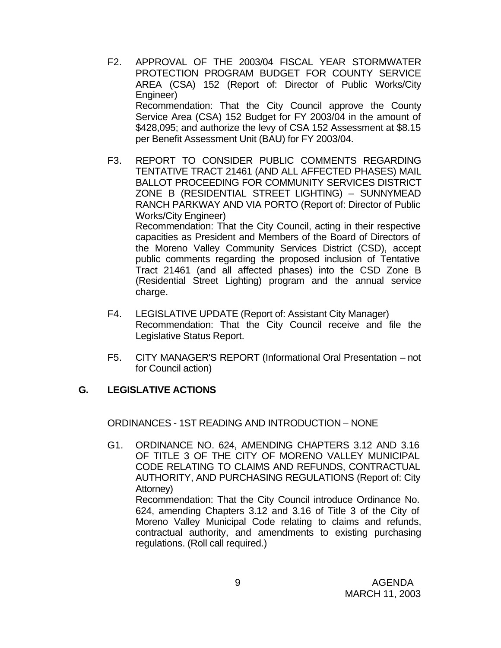- F2. APPROVAL OF THE 2003/04 FISCAL YEAR STORMWATER PROTECTION PROGRAM BUDGET FOR COUNTY SERVICE AREA (CSA) 152 (Report of: Director of Public Works/City Engineer) Recommendation: That the City Council approve the County Service Area (CSA) 152 Budget for FY 2003/04 in the amount of \$428,095; and authorize the levy of CSA 152 Assessment at \$8.15 per Benefit Assessment Unit (BAU) for FY 2003/04.
- F3. REPORT TO CONSIDER PUBLIC COMMENTS REGARDING TENTATIVE TRACT 21461 (AND ALL AFFECTED PHASES) MAIL BALLOT PROCEEDING FOR COMMUNITY SERVICES DISTRICT ZONE B (RESIDENTIAL STREET LIGHTING) – SUNNYMEAD RANCH PARKWAY AND VIA PORTO (Report of: Director of Public Works/City Engineer) Recommendation: That the City Council, acting in their respective capacities as President and Members of the Board of Directors of the Moreno Valley Community Services District (CSD), accept public comments regarding the proposed inclusion of Tentative

Tract 21461 (and all affected phases) into the CSD Zone B (Residential Street Lighting) program and the annual service charge.

- F4. LEGISLATIVE UPDATE (Report of: Assistant City Manager) Recommendation: That the City Council receive and file the Legislative Status Report.
- F5. CITY MANAGER'S REPORT (Informational Oral Presentation not for Council action)

### **G. LEGISLATIVE ACTIONS**

ORDINANCES - 1ST READING AND INTRODUCTION – NONE

G1. ORDINANCE NO. 624, AMENDING CHAPTERS 3.12 AND 3.16 OF TITLE 3 OF THE CITY OF MORENO VALLEY MUNICIPAL CODE RELATING TO CLAIMS AND REFUNDS, CONTRACTUAL AUTHORITY, AND PURCHASING REGULATIONS (Report of: City Attorney) Recommendation: That the City Council introduce Ordinance No. 624, amending Chapters 3.12 and 3.16 of Title 3 of the City of Moreno Valley Municipal Code relating to claims and refunds, contractual authority, and amendments to existing purchasing

regulations. (Roll call required.)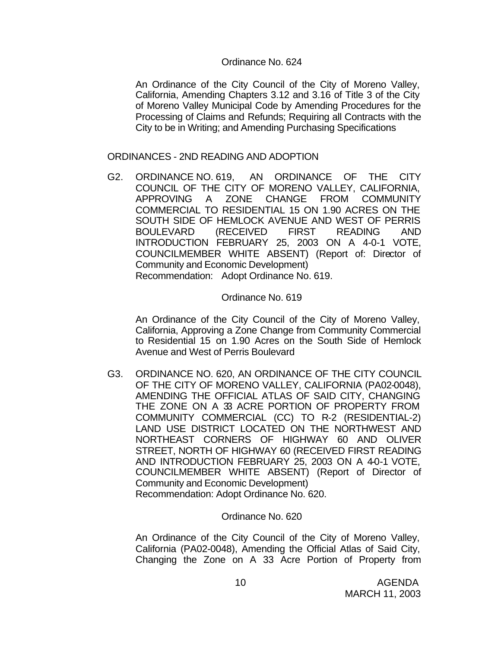### Ordinance No. 624

An Ordinance of the City Council of the City of Moreno Valley, California, Amending Chapters 3.12 and 3.16 of Title 3 of the City of Moreno Valley Municipal Code by Amending Procedures for the Processing of Claims and Refunds; Requiring all Contracts with the City to be in Writing; and Amending Purchasing Specifications

### ORDINANCES - 2ND READING AND ADOPTION

G2. ORDINANCE NO. 619, AN ORDINANCE OF THE CITY COUNCIL OF THE CITY OF MORENO VALLEY, CALIFORNIA, APPROVING A ZONE CHANGE FROM COMMUNITY COMMERCIAL TO RESIDENTIAL 15 ON 1.90 ACRES ON THE SOUTH SIDE OF HEMLOCK AVENUE AND WEST OF PERRIS BOULEVARD (RECEIVED FIRST READING AND INTRODUCTION FEBRUARY 25, 2003 ON A 4-0-1 VOTE, COUNCILMEMBER WHITE ABSENT) (Report of: Director of Community and Economic Development) Recommendation: Adopt Ordinance No. 619.

Ordinance No. 619

An Ordinance of the City Council of the City of Moreno Valley, California, Approving a Zone Change from Community Commercial to Residential 15 on 1.90 Acres on the South Side of Hemlock Avenue and West of Perris Boulevard

G3. ORDINANCE NO. 620, AN ORDINANCE OF THE CITY COUNCIL OF THE CITY OF MORENO VALLEY, CALIFORNIA (PA02-0048), AMENDING THE OFFICIAL ATLAS OF SAID CITY, CHANGING THE ZONE ON A 33 ACRE PORTION OF PROPERTY FROM COMMUNITY COMMERCIAL (CC) TO R-2 (RESIDENTIAL-2) LAND USE DISTRICT LOCATED ON THE NORTHWEST AND NORTHEAST CORNERS OF HIGHWAY 60 AND OLIVER STREET, NORTH OF HIGHWAY 60 (RECEIVED FIRST READING AND INTRODUCTION FEBRUARY 25, 2003 ON A 4-0-1 VOTE, COUNCILMEMBER WHITE ABSENT) (Report of Director of Community and Economic Development) Recommendation: Adopt Ordinance No. 620.

Ordinance No. 620

An Ordinance of the City Council of the City of Moreno Valley, California (PA02-0048), Amending the Official Atlas of Said City, Changing the Zone on A 33 Acre Portion of Property from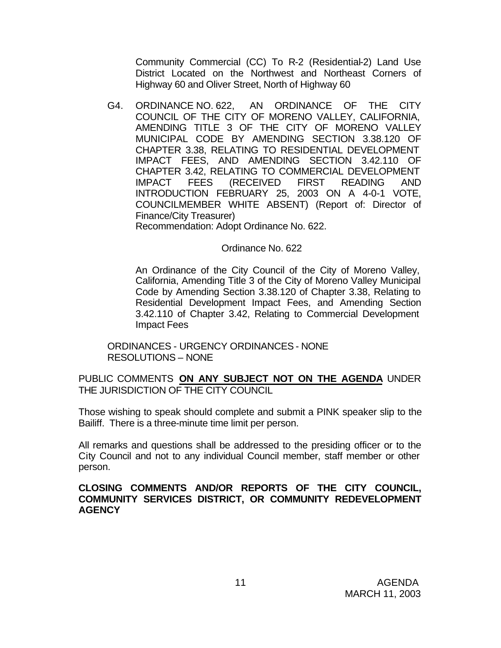Community Commercial (CC) To R-2 (Residential-2) Land Use District Located on the Northwest and Northeast Corners of Highway 60 and Oliver Street, North of Highway 60

G4. ORDINANCE NO. 622, AN ORDINANCE OF THE CITY COUNCIL OF THE CITY OF MORENO VALLEY, CALIFORNIA, AMENDING TITLE 3 OF THE CITY OF MORENO VALLEY MUNICIPAL CODE BY AMENDING SECTION 3.38.120 OF CHAPTER 3.38, RELATING TO RESIDENTIAL DEVELOPMENT IMPACT FEES, AND AMENDING SECTION 3.42.110 OF CHAPTER 3.42, RELATING TO COMMERCIAL DEVELOPMENT IMPACT FEES (RECEIVED FIRST READING AND INTRODUCTION FEBRUARY 25, 2003 ON A 4-0-1 VOTE, COUNCILMEMBER WHITE ABSENT) (Report of: Director of Finance/City Treasurer)

Recommendation: Adopt Ordinance No. 622.

#### Ordinance No. 622

An Ordinance of the City Council of the City of Moreno Valley, California, Amending Title 3 of the City of Moreno Valley Municipal Code by Amending Section 3.38.120 of Chapter 3.38, Relating to Residential Development Impact Fees, and Amending Section 3.42.110 of Chapter 3.42, Relating to Commercial Development Impact Fees

#### ORDINANCES - URGENCY ORDINANCES - NONE RESOLUTIONS – NONE

### PUBLIC COMMENTS **ON ANY SUBJECT NOT ON THE AGENDA** UNDER THE JURISDICTION OF THE CITY COUNCIL

Those wishing to speak should complete and submit a PINK speaker slip to the Bailiff. There is a three-minute time limit per person.

All remarks and questions shall be addressed to the presiding officer or to the City Council and not to any individual Council member, staff member or other person.

#### **CLOSING COMMENTS AND/OR REPORTS OF THE CITY COUNCIL, COMMUNITY SERVICES DISTRICT, OR COMMUNITY REDEVELOPMENT AGENCY**